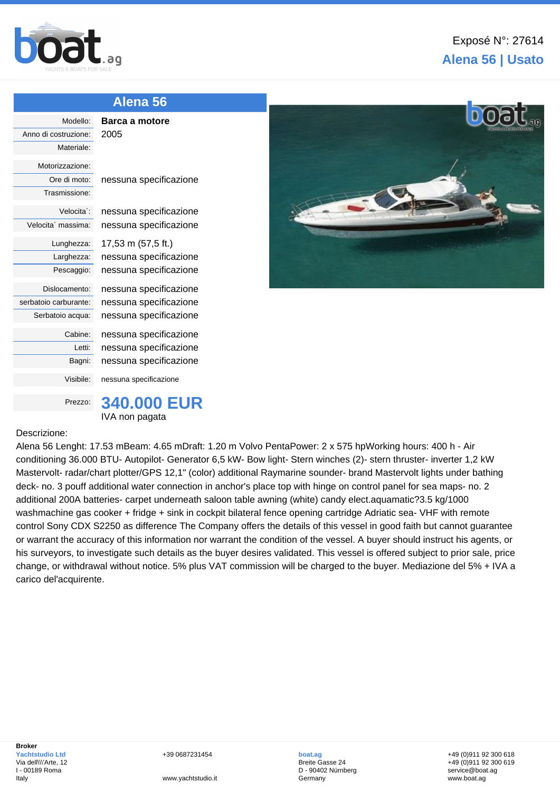

## **Alena 56 | Usato**

| Alena 56                |                        |
|-------------------------|------------------------|
| Modello:                | Barca a motore         |
| Anno di costruzione:    | 2005                   |
| Materiale:              |                        |
| Motorizzazione:         |                        |
| Ore di moto:            | nessuna specificazione |
| Trasmissione:           |                        |
| Velocita <sup>2</sup> : | nessuna specificazione |
| Velocita' massima:      | nessuna specificazione |
| Lunghezza:              | 17,53 m (57,5 ft.)     |
| Larghezza:              | nessuna specificazione |
| Pescaggio:              | nessuna specificazione |
| Dislocamento:           | nessuna specificazione |
| serbatoio carburante:   | nessuna specificazione |
| Serbatoio acqua:        | nessuna specificazione |
| Cabine:                 | nessuna specificazione |
| Letti:                  | nessuna specificazione |
| Bagni:                  | nessuna specificazione |
| Visibile:               | nessuna specificazione |
| Prezzo:                 | <b>340,000 EUR</b>     |
|                         | IVA non pagata         |
|                         |                        |

## Descrizione:

Alena 56 Lenght: 17.53 mBeam: 4.65 mDraft: 1.20 m Volvo PentaPower: 2 x 575 hpWorking hours: 400 h - Air conditioning 36.000 BTU- Autopilot- Generator 6,5 kW- Bow light- Stern winches (2)- stern thruster- inverter 1,2 kW Mastervolt- radar/chart plotter/GPS 12,1" (color) additional Raymarine sounder- brand Mastervolt lights under bathing deck- no. 3 pouff additional water connection in anchor's place top with hinge on control panel for sea maps- no. 2 additional 200A batteries- carpet underneath saloon table awning (white) candy elect.aquamatic?3.5 kg/1000 washmachine gas cooker + fridge + sink in cockpit bilateral fence opening cartridge Adriatic sea- VHF with remote control Sony CDX S2250 as difference The Company offers the details of this vessel in good faith but cannot guarantee or warrant the accuracy of this information nor warrant the condition of the vessel. A buyer should instruct his agents, or his surveyors, to investigate such details as the buyer desires validated. This vessel is offered subject to prior sale, price change, or withdrawal without notice. 5% plus VAT commission will be charged to the buyer. Mediazione del 5% + IVA a carico del'acquirente.

+39 0687231454

www.yachtstudio.it

**boat.ag** Breite Gasse 24 D - 90402 Nürnberg Germany

+49 (0)911 92 300 618 +49 (0)911 92 300 619 service@boat.ag www.boat.ag